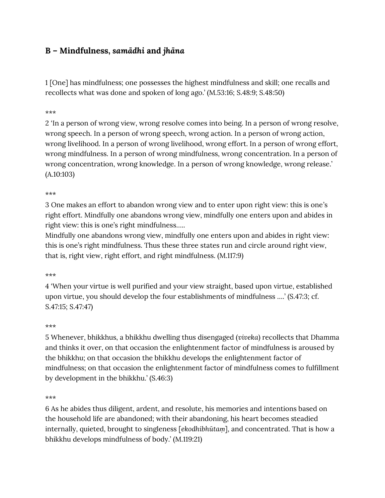# **B – Mindfulness,** *samādhi* **and** *jhāna*

1 [One] has mindfulness; one possesses the highest mindfulness and skill; one recalls and recollects what was done and spoken of long ago.' (M.53:16; S.48:9; S.48:50)

### \*\*\*

2 'In a person of wrong view, wrong resolve comes into being. In a person of wrong resolve, wrong speech. In a person of wrong speech, wrong action. In a person of wrong action, wrong livelihood. In a person of wrong livelihood, wrong effort. In a person of wrong effort, wrong mindfulness. In a person of wrong mindfulness, wrong concentration. In a person of wrong concentration, wrong knowledge. In a person of wrong knowledge, wrong release.' (A.10:103)

## \*\*\*

3 One makes an effort to abandon wrong view and to enter upon right view: this is one's right effort. Mindfully one abandons wrong view, mindfully one enters upon and abides in right view: this is one's right mindfulness…..

Mindfully one abandons wrong view, mindfully one enters upon and abides in right view: this is one's right mindfulness. Thus these three states run and circle around right view, that is, right view, right effort, and right mindfulness. (M.117:9)

## \*\*\*

4 'When your virtue is well purified and your view straight, based upon virtue, established upon virtue, you should develop the four establishments of mindfulness ….' (S.47:3; cf. S.47:15; S.47:47)

### \*\*\*

5 Whenever, bhikkhus, a bhikkhu dwelling thus disengaged (*viveka*) recollects that Dhamma and thinks it over, on that occasion the enlightenment factor of mindfulness is aroused by the bhikkhu; on that occasion the bhikkhu develops the enlightenment factor of mindfulness; on that occasion the enlightenment factor of mindfulness comes to fulfillment by development in the bhikkhu.' (S.46:3)

\*\*\*

6 As he abides thus diligent, ardent, and resolute, his memories and intentions based on the household life are abandoned; with their abandoning, his heart becomes steadied internally, quieted, brought to singleness [*ekodhibhūtaṃ*], and concentrated. That is how a bhikkhu develops mindfulness of body.' (M.119:21)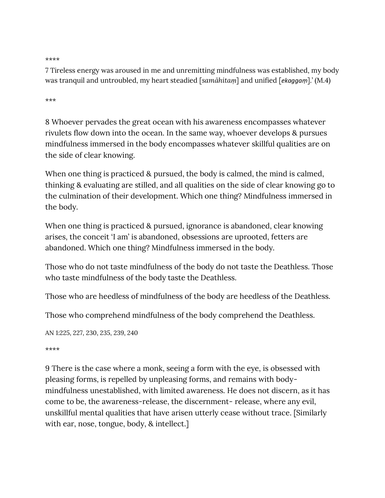#### \*\*\*\*

7 Tireless energy was aroused in me and unremitting mindfulness was established, my body was tranquil and untroubled, my heart steadied [*samāhitaṃ*] and unified [*ekaggaṃ*].' (M.4)

\*\*\*

8 Whoever pervades the great ocean with his awareness encompasses whatever rivulets flow down into the ocean. In the same way, whoever develops & pursues mindfulness immersed in the body encompasses whatever skillful qualities are on the side of clear knowing.

When one thing is practiced & pursued, the body is calmed, the mind is calmed, thinking & evaluating are stilled, and all qualities on the side of clear knowing go to the culmination of their development. Which one thing? Mindfulness immersed in the body.

When one thing is practiced & pursued, ignorance is abandoned, clear knowing arises, the conceit 'I am' is abandoned, obsessions are uprooted, fetters are abandoned. Which one thing? Mindfulness immersed in the body.

Those who do not taste mindfulness of the body do not taste the Deathless. Those who taste mindfulness of the body taste the Deathless.

Those who are heedless of mindfulness of the body are heedless of the Deathless.

Those who comprehend mindfulness of the body comprehend the Deathless.

AN 1:225, 227, 230, 235, 239, 240

## \*\*\*\*

9 There is the case where a monk, seeing a form with the eye, is obsessed with pleasing forms, is repelled by unpleasing forms, and remains with bodymindfulness unestablished, with limited awareness. He does not discern, as it has come to be, the awareness-release, the discernment- release, where any evil, unskillful mental qualities that have arisen utterly cease without trace. [Similarly with ear, nose, tongue, body, & intellect.]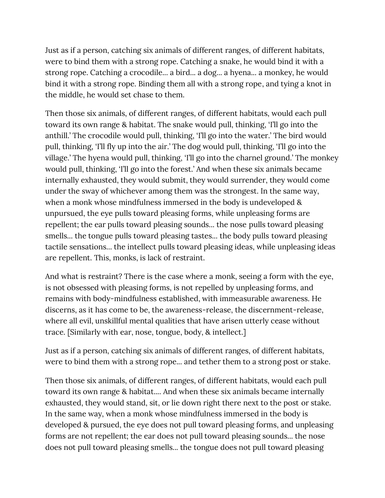Just as if a person, catching six animals of different ranges, of different habitats, were to bind them with a strong rope. Catching a snake, he would bind it with a strong rope. Catching a crocodile... a bird... a dog... a hyena... a monkey, he would bind it with a strong rope. Binding them all with a strong rope, and tying a knot in the middle, he would set chase to them.

Then those six animals, of different ranges, of different habitats, would each pull toward its own range & habitat. The snake would pull, thinking, 'I'll go into the anthill.' The crocodile would pull, thinking, 'I'll go into the water.' The bird would pull, thinking, 'I'll fly up into the air.' The dog would pull, thinking, 'I'll go into the village.' The hyena would pull, thinking, 'I'll go into the charnel ground.' The monkey would pull, thinking, 'I'll go into the forest.' And when these six animals became internally exhausted, they would submit, they would surrender, they would come under the sway of whichever among them was the strongest. In the same way, when a monk whose mindfulness immersed in the body is undeveloped & unpursued, the eye pulls toward pleasing forms, while unpleasing forms are repellent; the ear pulls toward pleasing sounds... the nose pulls toward pleasing smells... the tongue pulls toward pleasing tastes... the body pulls toward pleasing tactile sensations... the intellect pulls toward pleasing ideas, while unpleasing ideas are repellent. This, monks, is lack of restraint.

And what is restraint? There is the case where a monk, seeing a form with the eye, is not obsessed with pleasing forms, is not repelled by unpleasing forms, and remains with body-mindfulness established, with immeasurable awareness. He discerns, as it has come to be, the awareness-release, the discernment-release, where all evil, unskillful mental qualities that have arisen utterly cease without trace. [Similarly with ear, nose, tongue, body, & intellect.]

Just as if a person, catching six animals of different ranges, of different habitats, were to bind them with a strong rope... and tether them to a strong post or stake.

Then those six animals, of different ranges, of different habitats, would each pull toward its own range & habitat.... And when these six animals became internally exhausted, they would stand, sit, or lie down right there next to the post or stake. In the same way, when a monk whose mindfulness immersed in the body is developed & pursued, the eye does not pull toward pleasing forms, and unpleasing forms are not repellent; the ear does not pull toward pleasing sounds... the nose does not pull toward pleasing smells... the tongue does not pull toward pleasing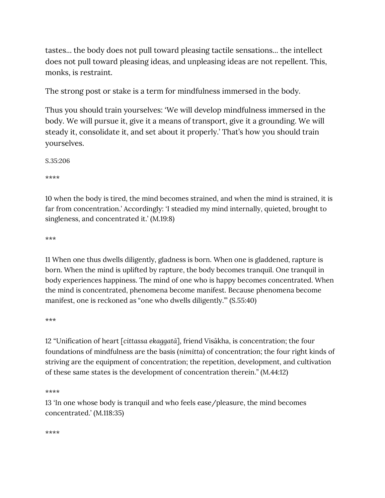tastes... the body does not pull toward pleasing tactile sensations... the intellect does not pull toward pleasing ideas, and unpleasing ideas are not repellent. This, monks, is restraint.

The strong post or stake is a term for mindfulness immersed in the body.

Thus you should train yourselves: 'We will develop mindfulness immersed in the body. We will pursue it, give it a means of transport, give it a grounding. We will steady it, consolidate it, and set about it properly.' That's how you should train yourselves.

S.35:206

\*\*\*\*

10 when the body is tired, the mind becomes strained, and when the mind is strained, it is far from concentration.' Accordingly: 'I steadied my mind internally, quieted, brought to singleness, and concentrated it.' (M.19:8)

\*\*\*

11 When one thus dwells diligently, gladness is born. When one is gladdened, rapture is born. When the mind is uplifted by rapture, the body becomes tranquil. One tranquil in body experiences happiness. The mind of one who is happy becomes concentrated. When the mind is concentrated, phenomena become manifest. Because phenomena become manifest, one is reckoned as "one who dwells diligently." (S.55:40)

\*\*\*

12 "Unification of heart [*cittassa ekaggatā*], friend Visākha, is concentration; the four foundations of mindfulness are the basis (*nimitta*) of concentration; the four right kinds of striving are the equipment of concentration; the repetition, development, and cultivation of these same states is the development of concentration therein." (M.44:12)

\*\*\*\*

13 'In one whose body is tranquil and who feels ease/pleasure, the mind becomes concentrated.' (M.118:35)

\*\*\*\*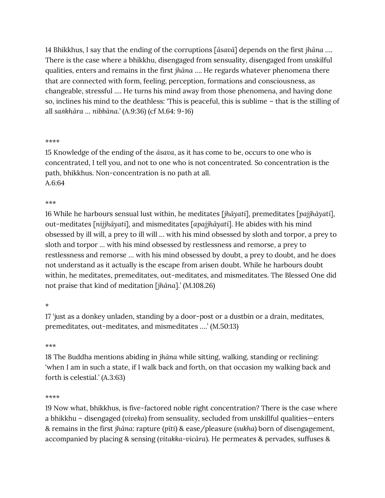14 Bhikkhus, I say that the ending of the corruptions [*āsavā*] depends on the first *jhāna* …. There is the case where a bhikkhu, disengaged from sensuality, disengaged from unskilful qualities, enters and remains in the first *jhāna* …. He regards whatever phenomena there that are connected with form, feeling, perception, formations and consciousness, as changeable, stressful …. He turns his mind away from those phenomena, and having done so, inclines his mind to the deathless: 'This is peaceful, this is sublime – that is the stilling of all *saṅkhāra* … *nibbāna*.' (A.9:36) (cf M.64: 9-16)

### \*\*\*\*

15 Knowledge of the ending of the *āsava*, as it has come to be, occurs to one who is concentrated, I tell you, and not to one who is not concentrated. So concentration is the path, bhikkhus. Non-concentration is no path at all. A.6:64

### \*\*\*

16 While he harbours sensual lust within, he meditates [*jhāyati*], premeditates [*pajjhāyati*], out-meditates [*nijjhāyati*], and mismeditates [*apajjhāyati*]. He abides with his mind obsessed by ill will, a prey to ill will … with his mind obsessed by sloth and torpor, a prey to sloth and torpor … with his mind obsessed by restlessness and remorse, a prey to restlessness and remorse … with his mind obsessed by doubt, a prey to doubt, and he does not understand as it actually is the escape from arisen doubt. While he harbours doubt within, he meditates, premeditates, out-meditates, and mismeditates. The Blessed One did not praise that kind of meditation [*jhāna*].' (M.108.26)

### \*

17 'just as a donkey unladen, standing by a door-post or a dustbin or a drain, meditates, premeditates, out-meditates, and mismeditates ….' (M.50:13)

### \*\*\*

18 The Buddha mentions abiding in *jhāna* while sitting, walking, standing or reclining: 'when I am in such a state, if I walk back and forth, on that occasion my walking back and forth is celestial.' (A.3:63)

### \*\*\*\*

19 Now what, bhikkhus, is five-factored noble right concentration? There is the case where a bhikkhu – disengaged (*viveka*) from sensuality, secluded from unskillful qualities—enters & remains in the first *jhāna*: rapture (*pīti*) & ease/pleasure (*sukha*) born of disengagement, accompanied by placing & sensing (*vitakka-vicāra*). He permeates & pervades, suffuses &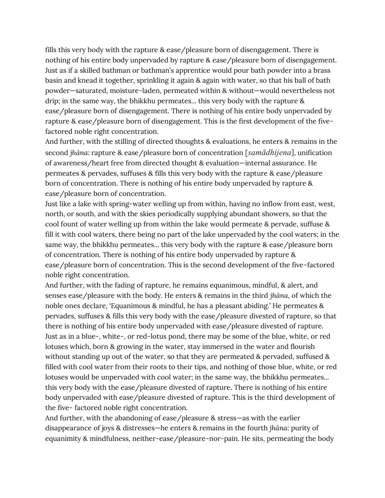fills this very body with the rapture & ease/pleasure born of disengagement. There is nothing of his entire body unpervaded by rapture & ease/pleasure born of disengagement. Just as if a skilled bathman or bathman's apprentice would pour bath powder into a brass basin and knead it together, sprinkling it again & again with water, so that his ball of bath powder—saturated, moisture-laden, permeated within & without—would nevertheless not drip; in the same way, the bhikkhu permeates... this very body with the rapture & ease/pleasure born of disengagement. There is nothing of his entire body unpervaded by rapture & ease/pleasure born of disengagement. This is the first development of the fivefactored noble right concentration.

And further, with the stilling of directed thoughts & evaluations, he enters & remains in the second *jhāna*: rapture & ease/pleasure born of concentration [*samādhijena*], unification of awareness/heart free from directed thought & evaluation—internal assurance. He permeates & pervades, suffuses & fills this very body with the rapture & ease/pleasure born of concentration. There is nothing of his entire body unpervaded by rapture & ease/pleasure born of concentration.

Just like a lake with spring-water welling up from within, having no inflow from east, west, north, or south, and with the skies periodically supplying abundant showers, so that the cool fount of water welling up from within the lake would permeate & pervade, suffuse & fill it with cool waters, there being no part of the lake unpervaded by the cool waters; in the same way, the bhikkhu permeates... this very body with the rapture & ease/pleasure born of concentration. There is nothing of his entire body unpervaded by rapture & ease/pleasure born of concentration. This is the second development of the five-factored noble right concentration.

And further, with the fading of rapture, he remains equanimous, mindful, & alert, and senses ease/pleasure with the body. He enters & remains in the third *jhāna*, of which the noble ones declare, 'Equanimous & mindful, he has a pleasant abiding.' He permeates & pervades, suffuses & fills this very body with the ease/pleasure divested of rapture, so that there is nothing of his entire body unpervaded with ease/pleasure divested of rapture. Just as in a blue-, white-, or red-lotus pond, there may be some of the blue, white, or red lotuses which, born & growing in the water, stay immersed in the water and flourish without standing up out of the water, so that they are permeated & pervaded, suffused & filled with cool water from their roots to their tips, and nothing of those blue, white, or red lotuses would be unpervaded with cool water; in the same way, the bhikkhu permeates... this very body with the ease/pleasure divested of rapture. There is nothing of his entire body unpervaded with ease/pleasure divested of rapture. This is the third development of the five- factored noble right concentration.

And further, with the abandoning of ease/pleasure & stress—as with the earlier disappearance of joys & distresses—he enters & remains in the fourth *jhāna*: purity of equanimity & mindfulness, neither-ease/pleasure-nor-pain. He sits, permeating the body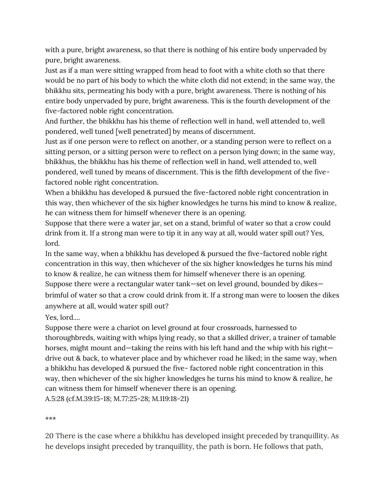with a pure, bright awareness, so that there is nothing of his entire body unpervaded by pure, bright awareness.

Just as if a man were sitting wrapped from head to foot with a white cloth so that there would be no part of his body to which the white cloth did not extend; in the same way, the bhikkhu sits, permeating his body with a pure, bright awareness. There is nothing of his entire body unpervaded by pure, bright awareness. This is the fourth development of the five-factored noble right concentration.

And further, the bhikkhu has his theme of reflection well in hand, well attended to, well pondered, well tuned [well penetrated] by means of discernment.

Just as if one person were to reflect on another, or a standing person were to reflect on a sitting person, or a sitting person were to reflect on a person lying down; in the same way, bhikkhus, the bhikkhu has his theme of reflection well in hand, well attended to, well pondered, well tuned by means of discernment. This is the fifth development of the fivefactored noble right concentration.

When a bhikkhu has developed & pursued the five-factored noble right concentration in this way, then whichever of the six higher knowledges he turns his mind to know & realize, he can witness them for himself whenever there is an opening.

Suppose that there were a water jar, set on a stand, brimful of water so that a crow could drink from it. If a strong man were to tip it in any way at all, would water spill out? Yes, lord.

In the same way, when a bhikkhu has developed & pursued the five-factored noble right concentration in this way, then whichever of the six higher knowledges he turns his mind to know & realize, he can witness them for himself whenever there is an opening. Suppose there were a rectangular water tank—set on level ground, bounded by dikes brimful of water so that a crow could drink from it. If a strong man were to loosen the dikes anywhere at all, would water spill out?

Yes, lord....

Suppose there were a chariot on level ground at four crossroads, harnessed to thoroughbreds, waiting with whips lying ready, so that a skilled driver, a trainer of tamable horses, might mount and—taking the reins with his left hand and the whip with his right drive out & back, to whatever place and by whichever road he liked; in the same way, when a bhikkhu has developed & pursued the five- factored noble right concentration in this way, then whichever of the six higher knowledges he turns his mind to know & realize, he can witness them for himself whenever there is an opening. A.5:28 (cf.M.39:15-18; M.77:25-28; M.119:18-21)

\*\*\*

20 There is the case where a bhikkhu has developed insight preceded by tranquillity. As he develops insight preceded by tranquillity, the path is born. He follows that path,